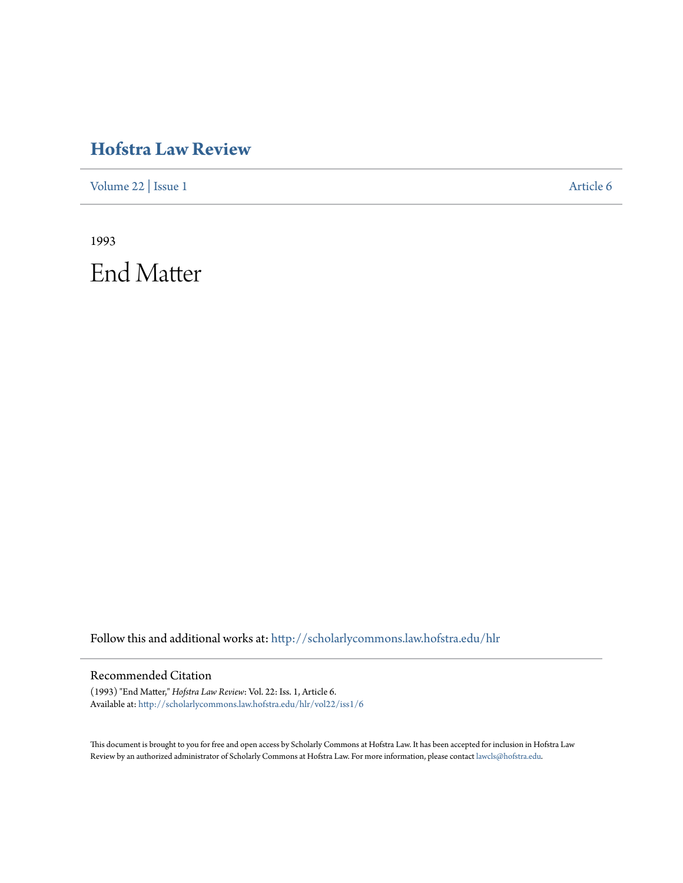## **[Hofstra Law Review](http://scholarlycommons.law.hofstra.edu/hlr?utm_source=scholarlycommons.law.hofstra.edu%2Fhlr%2Fvol22%2Fiss1%2F6&utm_medium=PDF&utm_campaign=PDFCoverPages)**

[Volume 22](http://scholarlycommons.law.hofstra.edu/hlr/vol22?utm_source=scholarlycommons.law.hofstra.edu%2Fhlr%2Fvol22%2Fiss1%2F6&utm_medium=PDF&utm_campaign=PDFCoverPages) | [Issue 1](http://scholarlycommons.law.hofstra.edu/hlr/vol22/iss1?utm_source=scholarlycommons.law.hofstra.edu%2Fhlr%2Fvol22%2Fiss1%2F6&utm_medium=PDF&utm_campaign=PDFCoverPages) [Article 6](http://scholarlycommons.law.hofstra.edu/hlr/vol22/iss1/6?utm_source=scholarlycommons.law.hofstra.edu%2Fhlr%2Fvol22%2Fiss1%2F6&utm_medium=PDF&utm_campaign=PDFCoverPages)

1993 End Matter

Follow this and additional works at: [http://scholarlycommons.law.hofstra.edu/hlr](http://scholarlycommons.law.hofstra.edu/hlr?utm_source=scholarlycommons.law.hofstra.edu%2Fhlr%2Fvol22%2Fiss1%2F6&utm_medium=PDF&utm_campaign=PDFCoverPages)

## Recommended Citation

(1993) "End Matter," *Hofstra Law Review*: Vol. 22: Iss. 1, Article 6. Available at: [http://scholarlycommons.law.hofstra.edu/hlr/vol22/iss1/6](http://scholarlycommons.law.hofstra.edu/hlr/vol22/iss1/6?utm_source=scholarlycommons.law.hofstra.edu%2Fhlr%2Fvol22%2Fiss1%2F6&utm_medium=PDF&utm_campaign=PDFCoverPages)

This document is brought to you for free and open access by Scholarly Commons at Hofstra Law. It has been accepted for inclusion in Hofstra Law Review by an authorized administrator of Scholarly Commons at Hofstra Law. For more information, please contact [lawcls@hofstra.edu](mailto:lawcls@hofstra.edu).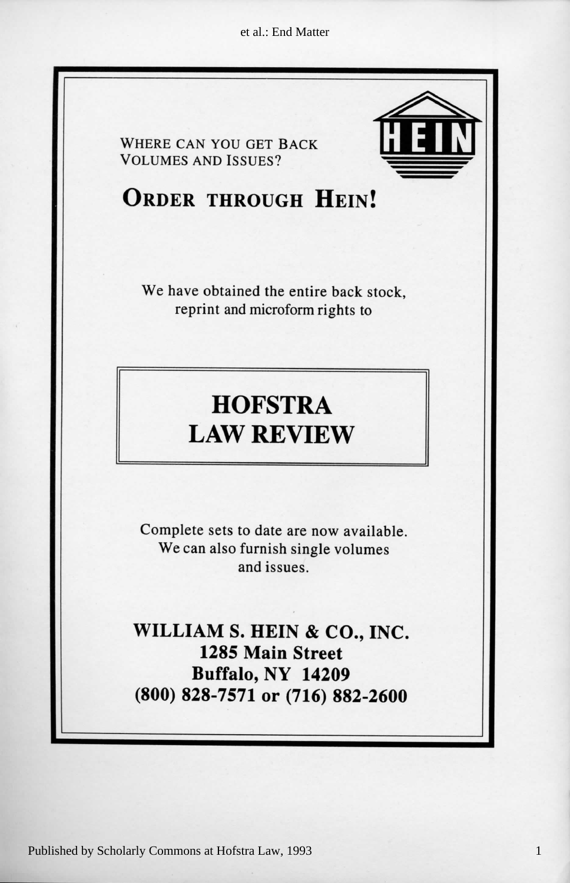et al.: End Matter



1

Published by Scholarly Commons at Hofstra Law, 1993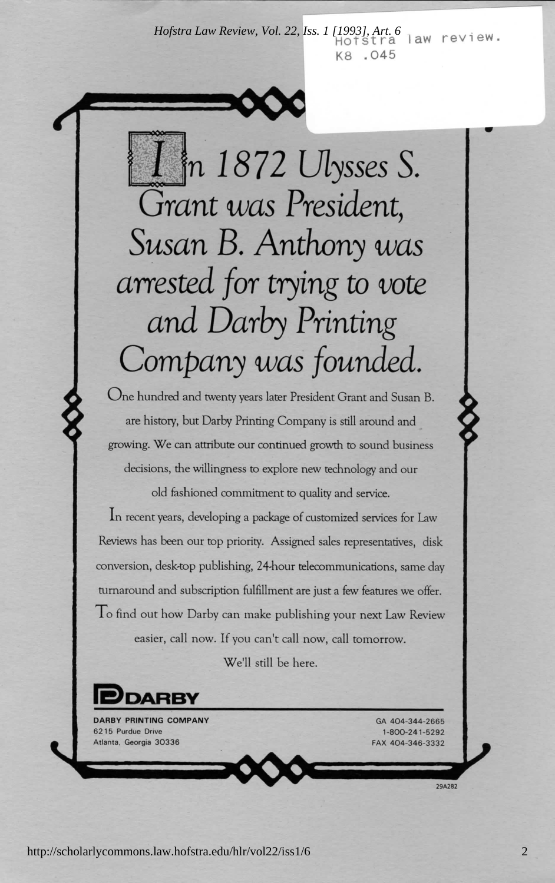*Hofstra Law Review, Vol. 22, Iss. 1 [1993], Art. 6* law review. K8.045



Company was founded.  $k$  discrete s sales s sales s sales s sales  $\frac{1}{2}$  $and$  dans  $P_{min}$ amsaa juris yung w vuc  $\overline{L}$   $\overline{L}$   $\overline{L}$   $\overline{L}$   $\overline{L}$   $\overline{L}$   $\overline{L}$   $\overline{L}$   $\overline{L}$   $\overline{L}$   $\overline{L}$   $\overline{L}$   $\overline{L}$   $\overline{L}$   $\overline{L}$   $\overline{L}$   $\overline{L}$   $\overline{L}$   $\overline{L}$   $\overline{L}$   $\overline{L}$   $\overline{L}$   $\overline{L}$   $\overline{L}$   $\overline{$ Susan B. Anthony was  $\cdots$  $\frac{1}{1}$  $CCAC$  **D**  $\Omega$ 5 404-344-266 AG 2 1-800-241-529

decisions, the willingness to explore new technology and our growing. We can attribute our continued growth to sound business are history, but Darby Printing Company is still around and One hundred and twenty years later President Grant and Susan B.

old fashioned commitment to quality and service.

To find out how Darby can make publishing your next Law Review<br>easier, call now. If you can't call now, call tomorrow. turnaround and subscription fulfillment are just a few features we offer. *Reviews has been our top priority. Assigned sales representatives, disk* conversion, desk-top publishing, 24-hour telecommunications, same day In recent years, developing a package of customized services for Law

*We'll still be here.*<br> **President in the set of the set of the set of the set of the set of the set of the set of the set of the set of the set of the set of the set of the set of the set of the set of the set of the set** 

2 404-346-333 X FA

*PATIBY*<br>RINTING COMPANY<br>due Drive Atlanta, Georgia 30336

GA 404-344-2665 1-800-241-5292 FAX 404-346-3332

29A282